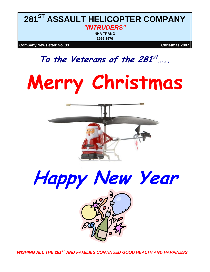# **281ST ASSAULT HELICOPTER COMPANY**  *"INTRUDERS"*  **NHA TRANG**

**1965-1970**

#### **Company Newsletter No. 33** Company Newsletter No. 33

# **To the Veterans of the 281st…..**









*WISHING ALL THE 281ST AND FAMILIES CONTINUED GOOD HEALTH AND HAPPINESS*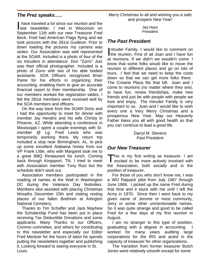# *The Prez speaks…..*

 have traveled a lot since our reunion and the have traveled a lot since our reunion and the<br>last newsletter. I met in Wisconsin on September 11th with our new Treasurer Fred Beck. Fred had American Flags flying and we took pictures with the 281st Guideon. Prior to down loading the pictures my camera was stolen. Our Association was well represented at the SOAR. Included is a photo of four of the six Intruders in attendance. Don "Zorro" Jutz was their official photographer. Included is a photo of Zorro with two of his able bodied assistants. SOA Officers recognized Brian Paine for his efforts in organizing their accounting, enabling them to give an accurate financial report to their membership. One of our members worked the registration tables. I felt the 281st members were received well by the SOA members and officers.

On the way back from the SOAR Doris and I had the opportunity to meet for dinner with member Jay Hendrix and his wife Christy in Phoenix, AZ. While attending a conference in Mississippi I spent a couple evenings with Sr. member @ Lg. Fred Lewis who was temporarily working there. My return trip included a stop near Birmingham, AL. to pick up some excellent Alabama honey from our VP Frank Little, who with Margaret took me to a great BBQ Restaurant for lunch. Coming back through Kingsport, TN, I tried to meet with Association member Tony Ruiz but the schedule didn't work out.

Association members participated in the reading of names at the Wall in Washington DC during the Veterans Day festivities. Members also assisted with placing Christmas Wreaths December 15th and visiting resting places of our fallen Brethren at Arlington National Cemetery.

Thanks to Tim Schaffer and Jack Mayhew the Scholarship Fund has been put in place receiving Tax Deductible Donations and some applicants. Many Thanks to our Officers, Commo committee, and others for contributing to this newsletter and especially our Editor Fred Mentzer for the hours of labor he spends putting the newsletters together and publishing it. Looking forward to seeing everyone in St. Louis.

Merry Christmas to all and wishing you a safe and prospers New Year!

> Jay Hays President

## *The Past President*

Intruder Family. I would like to comment on ntruder Family. I would like to comment on<br>the reunion. First of all Joan and I have fun at reunions. If we didn't we wouldn't come. I know that some folks would like to move the reunion to different places and go on lots of tours. I feel that we need to keep the costs down so that we can get more folks there. The Crowne Plaza fits that bill. Joan and I come to reunions (no matter where they are), to have fun, renew friendships, make new friends and just be with people with people we love and enjoy. The Intruder Family is very important to us. Joan and I would like to wish every one a Very Merry Christmas and a prosperous New Year. May our Heavenly Father bless you all with good health so that you can continue to lead a good life.

> Darryl M. Stevens Past President

### *Our New Treasurer*

his is my first writing as treasurer. I am This is my first writing as treasurer. I am excited to be more actively involved with the Association, both socially and in the position of treasurer.

For those of you who don't know me, I was a WO Ratpack pilot from July 1967 through June 1968. I picked up the name Fred during that time and it stuck with me until I left the Army in 1970. Since then I went back to my given name of Jerome or most commonly, Jerry or some other unmentionable names. So it was quite strange and good to be called Fred for a few days at my first reunion in August.

I am no stranger to this type of position, graduating with a degree in accounting. I worked for many years auditing large corporations for the IRS and acted in the capacity of treasurer for other organizations.

The transition from former treasurer Butch Jones went relatively smooth except for some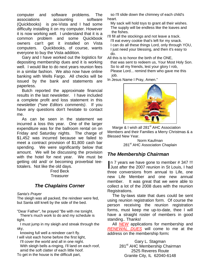computer and software problems. The associations accounting software (Quickbooks) is pre-Vista and I had some difficulty installing it on my computer. However it is now working well. I understand that it is a common problem and some Quickbook owners can't get it installed on Vista computers. Quickbooks, of course, wants everyone to buy the Vista addition.

Gary and I have worked out the logistics for depositing membership dues and it is working well. I would like to do next years reunion fees in a similar fashion. We also now have online banking with Wells Fargo. All checks will be issued by the bank and statements are paperless.

Butch reported the approximate financial results in the last newsletter. I have included a complete profit and loss statement in this newsletter *(\*see Editors comments)*. If you have any questions don't hesitate to contact me.

As can be seen in the statement we incurred a loss this year. One of the larger expenditure was for the ballroom rental on on Friday and Saturday nights. The charge of \$1,452 was incurred because we failed to meet a contract provision of \$1,800 cash bar spending. We were significantly below that amount. We will be discussing the provision with the hotel for next year. We must be getting old and/ or becoming proverbial teetotalers. Not like the old days.

Fred Beck **Treasurer** 

# *The Chaplains Corner*

#### *Santa's Prayer*

The sleigh was all packed, the reindeer were fed, but Santa still knelt by the side of the bed.

"Dear Father", he prayed "Be with me tonight.

 There's much work to do and my schedule is tight.

 I must jump in my sleigh and streak through the sky,

knowing full well a reindeer can't fly.

I will visit each home before the first light, I'll cover the world and all in one night.

 With sleigh bells a-ringing, I'll land on each roof, amid the soft clatter of each little hoof.

To get in the house is the difficult part,

 so I'll slide down the chimney of each child's heart.

 My sack will hold toys to grant all their wishes. The supply will be endless like the loaves and the fishes.

- I'll fill all the stockings and not leave a track. I'll eat every cookie that's left for my snack. I can do all these things Lord, only through YOU, I just need your blessing, and then it's easy to do.
- All this is to honor the birth of the ONE, that was sent to redeem us, Your Most Holy Son. So to all my friends, lest your glory I rob, Please Lord... remind them who gave me this job.

In Jesus Name I Pray, Amen."



Marge & I wish all 281<sup>st</sup> AHC Association Members and their Families a Merry Christmas & a Blessed New Year.

Norm Kaufman 281<sup>st</sup> AHC Association Chaplain

# *The Membership Chairman*

n 7 years we have gone to member # 347 !!!<br>Just after the 2007 reunion in St Louis, I had Just after the 2007 reunion in St Louis, I had three conversions from annual to Life, one new Life Member and one new annual member. It was great that we were able to collect a lot of the 2008 dues with the reunion Registrations.

The by-laws state that dues could be sent using reunion registration form. Of course the person receiving the reunion registration forms, must keep me up-to-date, thee I will have a straight roster of members in good standing.. Thanks!

All *NEW* applications for membership and *RENEWAL DUES* will come to me at the address on the membership form**:** 

> Gary L. Stagman 281<sup>st</sup> AHC Membership Chairman 2525 Reveres Route Granite City, IL 62040-6148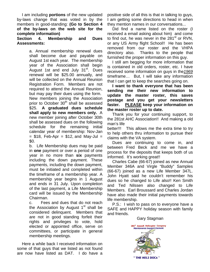I am including **portions** of the new updated by-laws change that was voted in by the members in good-standing: **(Go to Section 4 of the by-laws on the web site for the complete information)** 

**Section 4. Membership and Dues Assessments:** 

> a. Annual membership renewal dues shall become due and payable on August 1st each year. The membership year of the Association shall begin August 1st and end July 31<sup>st</sup>. Dues renewal will be \$25.00 annually, and will be collected on the Annual Reunion Registration Form. Members are not required to attend the Annual Reunion, but may pay their dues using the form. New members joining the Association prior to October 30<sup>th</sup> shall be assessed \$25. **A graduated dues schedule shall apply to new members only.** A new member joining after October 30th shall be assessed dues on the following schedule for the remaining initial calendar year of membership: Nov-Jan  $=$  \$18, Feb-Apr  $=$  \$12, and May-Jul  $=$ \$0.

> b. Life Membership dues may be paid in **one** payment or over a period of one year in no more than **six** payments including the down payment. These payments, including the down payment, must be initiated and completed within the timeframe of a membership year. A membership year begins in 1 August and ends in 31 July. Upon completion of the last payment, a Life Membership card will be issued by the Membership Chairman.

> c. Fees and dues that do not reach the Association by August  $1<sup>st</sup>$  shall be considered delinquent. Members that are not in good standing forfeit their rights and privileges to vote, hold elected or appointed office, serve on committees, or participate in general membership meetings.

Here a while back I received information on some of that guys that we listed as not found are now have listed as DAT. I do have a

positive side of all this is that in talking to guys, I am getting some directions to head in when they mention names in our conversations...

Did find a name listed on the roster (I received a email asking about him) and come to find out, he was never in the  $281<sup>st</sup>$  or RVN, or any US Army flight School!! He has been removed from our roster and the VHPA directory also. Thanks to the people that furnished the proper information on this guy.

I still am begging for more information that is contained in old orders, roster, etc. I have received some information on guys in the*1969* timeframe… But, I will take any information that I can get to keep the searches going on.

**I want to thank everyone that has been sending me their new information to update the master roster, this saves postage and you get your newsletters faster. PLEASE keep your information on the master roster up to date.** 

Thank you for your continuing support, to the 281st AHC Association!! And making a old man's life

better!!! This allows me the extra time to try to help others thru information to pursue their claims with the VA system.

Dues are continuing to come in, and between Fred Beck and me we have a process for the deposits that keeps both of us informed. It's working great!!

Charles Cabe (66-67) joined as new Annual Member 346A and Virgle "Buddy" Samples (66-67) joined as a new Life Member 347L. John Hyatt said he couldn't remember his dues so he changed to Life also!! Ken Smith and Ted Nilssen also changed to Life Members. Earl Broussard and Charles Jordan have also made their initial payments towards life membership.

P.S.: I wish to pass on to everyone have a SAFE and HAPPY holiday season with family and friends.

#### Gary Stagman

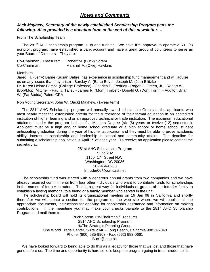### *Notes and Comments*

#### *Jack Mayhew, Secretary of the newly established Scholarship Program pens the following. Also provided is a donation form at the end of this newsletter….*

From The Scholarship Team

The 281<sup>st</sup> AHC scholarship program is up and running. We have IRS approval to operate a 501 (c) nonprofit program, have established a bank account and have a great group of volunteers to serve as your Board of Directors: They are:

| Co-Chairman / Treasurer: | Robert M. (Buck) Sorem     |
|--------------------------|----------------------------|
| Co-Chairman:             | Marshall A. (Okie) Hawkins |

Members:

Jared H. (Jerry) Bahre (Susan Bahre has experience in scholarship fund management and will advise us on any issues that may arise) - Barclay A. (Barc) Boyd - Joseph M. (Joe) Bilitzke - Dr. Karen Heintz-Forcht (College Professor) - Charles E. Fredricy - Roger C. Green, Jr. -Robert W. (Bob/Mop) Mitchell - Paul J. Talley - James R. (Mom) Torbert - Donald G. (Don) Torrini - Auditor: Brian W. (Fat Budda) Paine, CPA

Non Voting Secretary: John W. (Jack) Mayhew, (1-year term)

The 281<sup>st</sup> AHC Scholarship program will annually award scholarship Grants to the applicants who most nearly meet the established criteria for the furtherance of their formal education in an accredited institution of higher learning and or an approved technical or trade institution. The maximum educational attainment under the program is that of a Masters Degree (six (6) years or twelve (12) semesters). Applicant must be a high and or home school graduate or a high school or home school student anticipating graduation during the year of his /her application and they must be able to prove academic ability, interest in scholarship and leadership in school and community affairs. The deadline for submitting a scholarship application is April 15 of each year. To receive an application please contact the secretary at:

> 281st AHC Scholarship Program Suite 202 1150, 17<sup>th</sup> Street N.W. Washington, DC 20036 202-466-8230 Intruder06@comcast.net

The scholarship fund was started with a generous annual grants from two companies and we have already received commitments from four other individuals who want to contribute funds for scholarships in the names of former Intruders. This is a great way for individuals or groups of the Intruder family to establish a lasting memorial to a friend or a family member who served in the unit.

The scholarship board will hold its organizational meeting on 19 Jan 08 in California and shortly thereafter we will create a section for the program on the web site where we will publish all the appropriate documents, instructions for applying for scholarship assistance and information on making contributions. In the meantime you may make your checks payable to the  $281<sup>st</sup>$  AHC Scholarship Program and mail them to:

> Buck Sorem, Co-Chairman / Treasurer 281<sup>st</sup> AHC Scholarship Program %The Strategic Planning Group One World Trade Center, Suite 2340 - Long Beach, California 90831-2340 Phone: (800) 585-9903 - Fax: (562) 983-0661 Buck@tspg.biz

We have looked forward to being able to do this as a legacy for those that we lost and those that have gone before us. The time and opportunity is here so let's keep the program going in true Intruder spirit.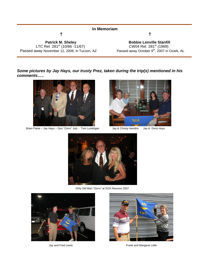| In Memoriam                                  |                                                         |
|----------------------------------------------|---------------------------------------------------------|
|                                              |                                                         |
| <b>Patrick M. Sheley</b>                     | <b>Bobbie Lenville Stanfill</b>                         |
| LTC Ret 281 <sup>st</sup> (10/66 -11/67)     | CW04 Ret 281 <sup>st</sup> (1969)                       |
| Passed away November 12, 2006, in Tucson, AZ | Passed away October 9 <sup>th</sup> , 2007 in Ozark, AL |

#### *Some pictures by Jay Hays, our trusty Prez, taken during the trip(s) mentioned in his comments…..*



Brian Paine – Jay Hays – Don "Zorro" Jutz - Tom Lundrigan Jay & Christy Hendrix Jay & Doris Hays





Dirty Old Man "*Zorro*" at SOA Reunion 2007





Jay and Fred Lewis **Frank and Margaret Little**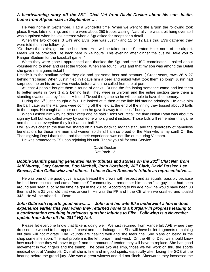#### *A heartwarming story off the 281st Chat Net from David Dosker about his son Justin, home from Afghanistan in September…..*

 He was home in September. Had a wonderful time. When we went to the airport the following took place. It was late morning, and there were about 250 troops waiting. Naturally he was a bit hung over so I was surprised when he volunteered when a Sgt asked for troops for a detail.

 When the two officers, 3 E4's and E5's (one was Justin) and 11 or 12 E1's thru E3's gathered they were told them the following:

"Go down the stairs, get on the bus there. You will be taken to the Sheraton Hotel north of the airport. Meals will be provided. Be back here in 24 hours. This evening after dinner the bus will take you to Ranger Stadium for the baseball game. "

 When they were gone I approached and thanked the Sgt. and the USO coordinator. I asked about volunteering to meet and greet the troops. When she found I was and that my son was among the Detail she gave me a game ticket !

I made it to the stadium before they did and got some beer and peanuts. (Great seats, rows 26 & 27 behind first base) When Justin filed in I gave him a beer and asked what took them so long? Justin had surprised me on his arrival two weeks before when he called from the airport

 At least 4 people bought them a round of drinks. During the 5th inning someone came and led them to better seats in rows 1 & 2 behind first. They were in uniform and the entire section gave them a standing ovation as they filed in. A friend Tivoed the game so he will be able to have the memory.

During the 6<sup>th</sup> Justin caught a foul. He looked at it, then at the little kid staring adoringly. He gave him the ball! Later as the Rangers were coming off the field at the end of the inning they tossed about 6 balls to the troops. He caught another one, then he gave it away to the kids' buddy..

 When I asked him why he didn't keep one he said "Don't you recall the time Nolan Ryan was about to sign my ball but was called away by someone who signed it instead. Those kids will remember this game and the soldier everytime they look at that ball !! "

I will always cherish the time we shared on his way back to Afghanistan, and the generosity of nameless benefactors for these fine men and women soldiers! I am so proud of the Man who is my son!! On this Thanksgiving Day I thank the Lord that their experience was not like ours during Vietnam.

He was promoted to E5 upon rejoining his unit. Thank you all for your Service.

#### David Dosker Rat Pack 13

#### *Bobbie Stanfils passing generated many tributes and stories on the 281st Chat Net, from Jeff Murray, Gary Stagman, Bob Mitchell, John Korsbeck, Will Clark, David Dosker, Lee Brewer, John Galkiewicz and others. I chose Dean Roesner's tribute as representative…..*

He was one of the good guys, always treated the crews with respect and as equals, possibly because he had been enlisted and came from the SF community. I remember him as an "old guy" that had been around and seen a lot by the time he got in the 281st. According to his age now, he would have been 33 then and to a 21 year old that was ancient. He was the PP and I the CE when we crashed and totaled 342. He will be missed. - Dean

#### *John Gilbreath reports good news….. John and his wife Elke underwent a horrendous experience earlier this year when they returned home to a burglary in progress leading to a confrontation resulting in grievous gunshot injuries to Elke. Following is a November update from John off the 281st HQ Net.*

Please let everyone know that Elke is doing well. We just returned from Vanderbilt AFB where they dressed the wound to her upper left chest and the drainage cut. She will have bullet fragments remaining but they will not migrate. The wounds are healing well and she feels fine. She plans on being in the shop sometime soon. The real problem is the left forearm and wrist, On the 4th of Dec, we should know how much bone they will have to graft and the amount of tendon they will have to replace. She has good movement in two fingers and the thumb. The other two are limp, those we will work on thru the sports medical dept at Vanderbilt. Overall she is fine and in good spirits, especially after facing the SOB at the hearing before the grand jury. She was a great witness and did not flinch. Afterwards they increased the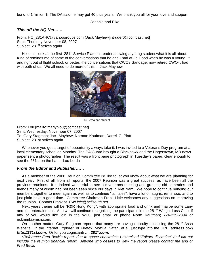bond to 1 million \$. The DA said he may get 40 plus years. We thank you all for your love and support.

Johnnie and Elke

#### *This off the HQ Net……*

From: HQ\_281AHC@yahoogroups.com (Jack Mayhew[intruder6@comcast.net] Sent: Thursday November 08, 2007 Subject: 281<sup>st</sup> strikes again

Hello all, look at the first 281<sup>st</sup> Service Platoon Leader showing a young student what it is all about. Kind of reminds me of some of the conversations that he and I had at Ft. Hood when he was a young Lt. and right out of flight school, or better, the conversations that CWO3 Sandage, now retired CWO4, had with both of us. We all need to do more of this. – Jack Mayhew



Lou Lerda and student

From: Lou [mailto:marlynlou@comcast.net] Sent: Wednesday, November 07, 2007 To: Gary Stagman; Jack Mayhew; Norman Kaufman; Darrell G. Piatt Subject: 281st strikes again

Whenever you get a target of opportunity always take it. I was invited to a Veterans Day program at a local elementary school on Monday. The PA Guard brought a Blackhawk and the Hagerstown, MD news paper sent a photographer. The result was a front page photograph in Tuesday's paper, clear enough to see the 281st on the hat. - Lou Lerda

#### *From the Editor and Publisher……*

As a member of the 2008 Reunion Committee I'd like to let you know about what we are planning for next year. First of all, from all reports, the 2007 Reunion was a great success, as have been all the previous reunions. It is indeed wonderful to see our veterans meeting and greeting old comrades and friends many of whom had not been seen since our days in Viet Nam. We hope to continue bringing our members together to meet again as well as to continue "tall tales", have a lot of laughs, reminisce, and to just plain have a good time. Committee Chairman Frank Little welcomes any suggestions on improving the reunion. Contact Frank at *FWLittle@bellsouth.net.*

Next years theme will be "R&R Hong Kong", with appropriate food and drink and maybe some zany and fun entertainment. And we will continue recognizing the participants in the 281<sup>st</sup> Weight Loss Club. If any of you would like join in the WLC, just email or phone Norm Kaufman; 724-235-2894 or nckmmk@msn.com.

On another matter, Gary Stagman reports that many are having difficulty accessing the 281<sup>st</sup> Assn Website. In the Internet Explorer, or Firefox, Mozilla, Safari, et al, just type into the URL (address box) *http://281st.com*. Or for you cognizanti …. *281st.com*.

*\*Reference Fred Beck's report, due to space constraints I exercised "Editors discretion" and did not include the reunion financial report. Anyone who desires to view the report please contact me and or Fred Beck.*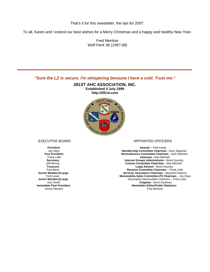That's it for this newsletter, the last for 2007.

To all, Karen and I extend our best wishes for a Merry Christmas and a happy and healthy New Year.

Fred Mentzer *Wolf Pack 36 (1967-68)* 

*"Sure the LZ is secure, I'm whispering because I have a cold. Trust me."*

**281ST AHC ASSOCIATION, INC. Established 4 July 1999 http://281st.com** 



**Immediate Past President**<br>Darryl Stevens

#### EXECUTIVE BOARD APPOINTED OFFICERS

**President Awards – Fred Lewis**<br> **President Awards – Fred Lewis**<br> **Membership Committee Chairman Membership Committee Chairman - Gary Stagman Vice President Committee Chairman - Jack Mayhew<br>Frank Little <b>Remembrance Committee Chairman -** Jack Mayhew<br>**Historian -** Bob Mitchell **Historian - Bob Mitchell Secretary Secretary 19 Secretary 19 Secretary 19 Secretary 19 Secretary 19 Secretary 19 Secretary 19 Secretary 19 Secretary 19 Secretary 19 Secretary 19 Secretary 19 Secretary 19 Secretary 19 Secretary 19 Secretary 19 Sec Commo Committee Chairman – Bob Mitchell Treasurer Legal Advisor - Brent Gourley<br>Fred Beck <b>Reunion Committee Chairman** – Fra Fred Beck **Reunion Committee Chairman –** Frank Little **F** Member@Large **Survivor Assistance Chairman** - Marshall Hawkins<br>Fred Lewis **Surviver and Memorabilia Sales Committee-PX Chairman** – Jay Ha Fred Lewis **Memorabilia Sales Committee-PX Chairman** – Jay Hays Association Memorabilia Chairman – Fred Lewis **Ken Smith Chaplain** - Norm Kaufman **Chaplain** - Norm Kaufman minieurate Fast Fresident<br>Darryl Stevens Fred Mentzer **Newsletter Editor/Public Relations**<br>Fred Mentzer